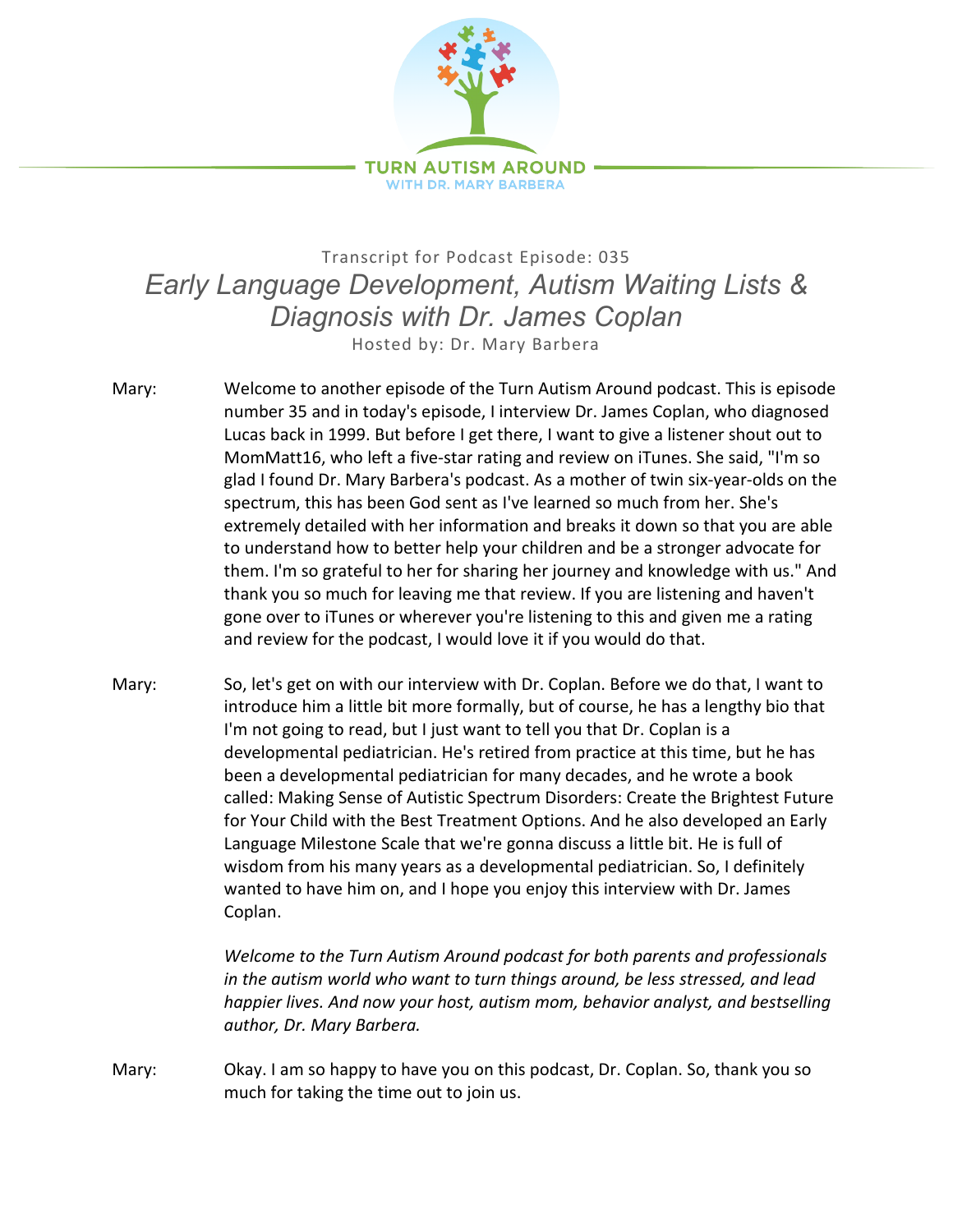

## Transcript for Podcast Episode: 035 *Early Language Development, Autism Waiting Lists & Diagnosis with Dr. James Coplan* Hosted by: Dr. Mary Barbera

- Mary: Welcome to another episode of the Turn Autism Around podcast. This is episode number 35 and in today's episode, I interview Dr. James Coplan, who diagnosed Lucas back in 1999. But before I get there, I want to give a listener shout out to MomMatt16, who left a five-star rating and review on iTunes. She said, "I'm so glad I found Dr. Mary Barbera's podcast. As a mother of twin six-year-olds on the spectrum, this has been God sent as I've learned so much from her. She's extremely detailed with her information and breaks it down so that you are able to understand how to better help your children and be a stronger advocate for them. I'm so grateful to her for sharing her journey and knowledge with us." And thank you so much for leaving me that review. If you are listening and haven't gone over to iTunes or wherever you're listening to this and given me a rating and review for the podcast, I would love it if you would do that.
- Mary: So, let's get on with our interview with Dr. Coplan. Before we do that, I want to introduce him a little bit more formally, but of course, he has a lengthy bio that I'm not going to read, but I just want to tell you that Dr. Coplan is a developmental pediatrician. He's retired from practice at this time, but he has been a developmental pediatrician for many decades, and he wrote a book called: Making Sense of Autistic Spectrum Disorders: Create the Brightest Future for Your Child with the Best Treatment Options. And he also developed an Early Language Milestone Scale that we're gonna discuss a little bit. He is full of wisdom from his many years as a developmental pediatrician. So, I definitely wanted to have him on, and I hope you enjoy this interview with Dr. James Coplan.

*Welcome to the Turn Autism Around podcast for both parents and professionals in the autism world who want to turn things around, be less stressed, and lead happier lives. And now your host, autism mom, behavior analyst, and bestselling author, Dr. Mary Barbera.*

Mary: Okay. I am so happy to have you on this podcast, Dr. Coplan. So, thank you so much for taking the time out to join us.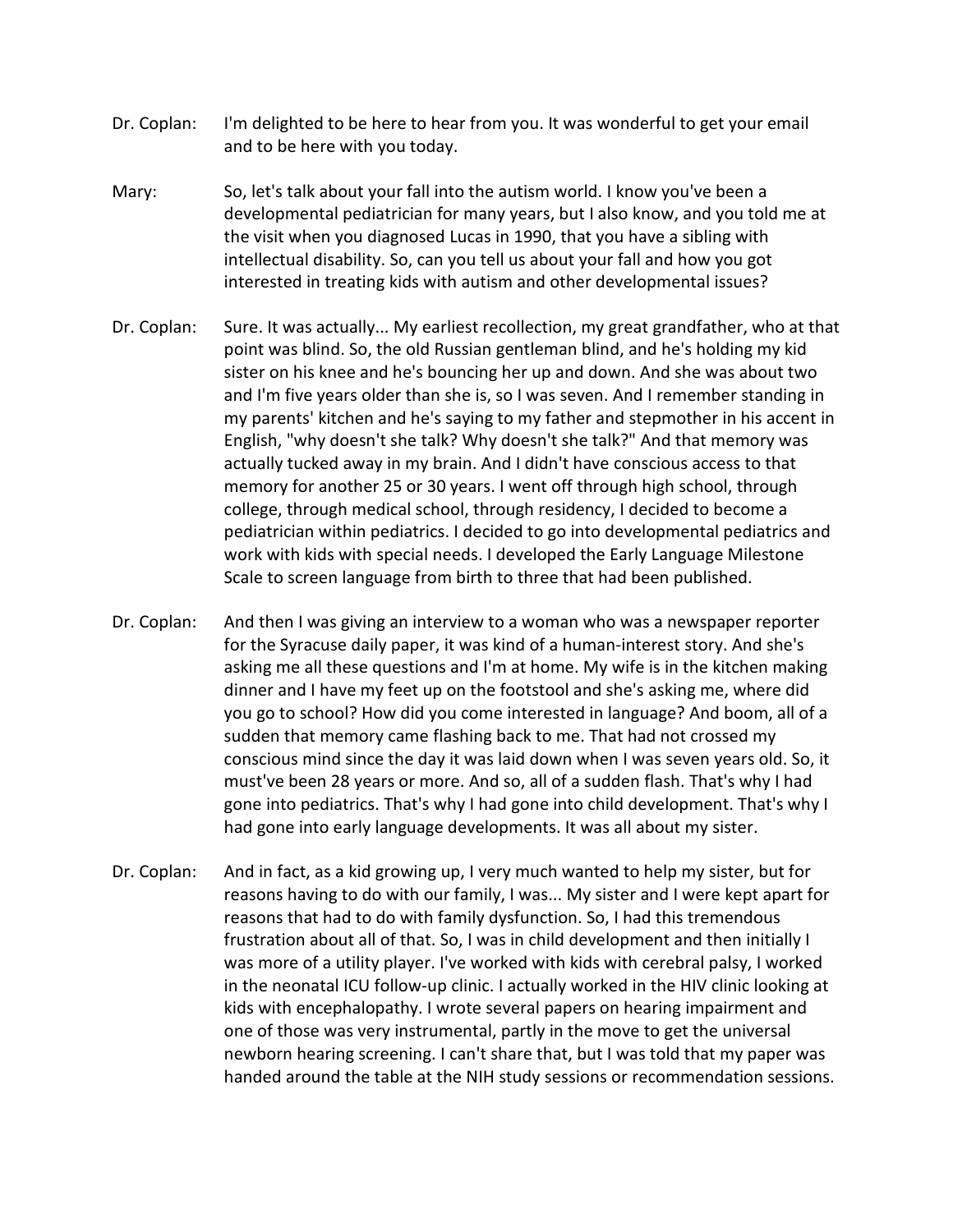- Dr. Coplan: I'm delighted to be here to hear from you. It was wonderful to get your email and to be here with you today.
- Mary: So, let's talk about your fall into the autism world. I know you've been a developmental pediatrician for many years, but I also know, and you told me at the visit when you diagnosed Lucas in 1990, that you have a sibling with intellectual disability. So, can you tell us about your fall and how you got interested in treating kids with autism and other developmental issues?
- Dr. Coplan: Sure. It was actually... My earliest recollection, my great grandfather, who at that point was blind. So, the old Russian gentleman blind, and he's holding my kid sister on his knee and he's bouncing her up and down. And she was about two and I'm five years older than she is, so I was seven. And I remember standing in my parents' kitchen and he's saying to my father and stepmother in his accent in English, "why doesn't she talk? Why doesn't she talk?" And that memory was actually tucked away in my brain. And I didn't have conscious access to that memory for another 25 or 30 years. I went off through high school, through college, through medical school, through residency, I decided to become a pediatrician within pediatrics. I decided to go into developmental pediatrics and work with kids with special needs. I developed the Early Language Milestone Scale to screen language from birth to three that had been published.
- Dr. Coplan: And then I was giving an interview to a woman who was a newspaper reporter for the Syracuse daily paper, it was kind of a human-interest story. And she's asking me all these questions and I'm at home. My wife is in the kitchen making dinner and I have my feet up on the footstool and she's asking me, where did you go to school? How did you come interested in language? And boom, all of a sudden that memory came flashing back to me. That had not crossed my conscious mind since the day it was laid down when I was seven years old. So, it must've been 28 years or more. And so, all of a sudden flash. That's why I had gone into pediatrics. That's why I had gone into child development. That's why I had gone into early language developments. It was all about my sister.
- Dr. Coplan: And in fact, as a kid growing up, I very much wanted to help my sister, but for reasons having to do with our family, I was... My sister and I were kept apart for reasons that had to do with family dysfunction. So, I had this tremendous frustration about all of that. So, I was in child development and then initially I was more of a utility player. I've worked with kids with cerebral palsy, I worked in the neonatal ICU follow-up clinic. I actually worked in the HIV clinic looking at kids with encephalopathy. I wrote several papers on hearing impairment and one of those was very instrumental, partly in the move to get the universal newborn hearing screening. I can't share that, but I was told that my paper was handed around the table at the NIH study sessions or recommendation sessions.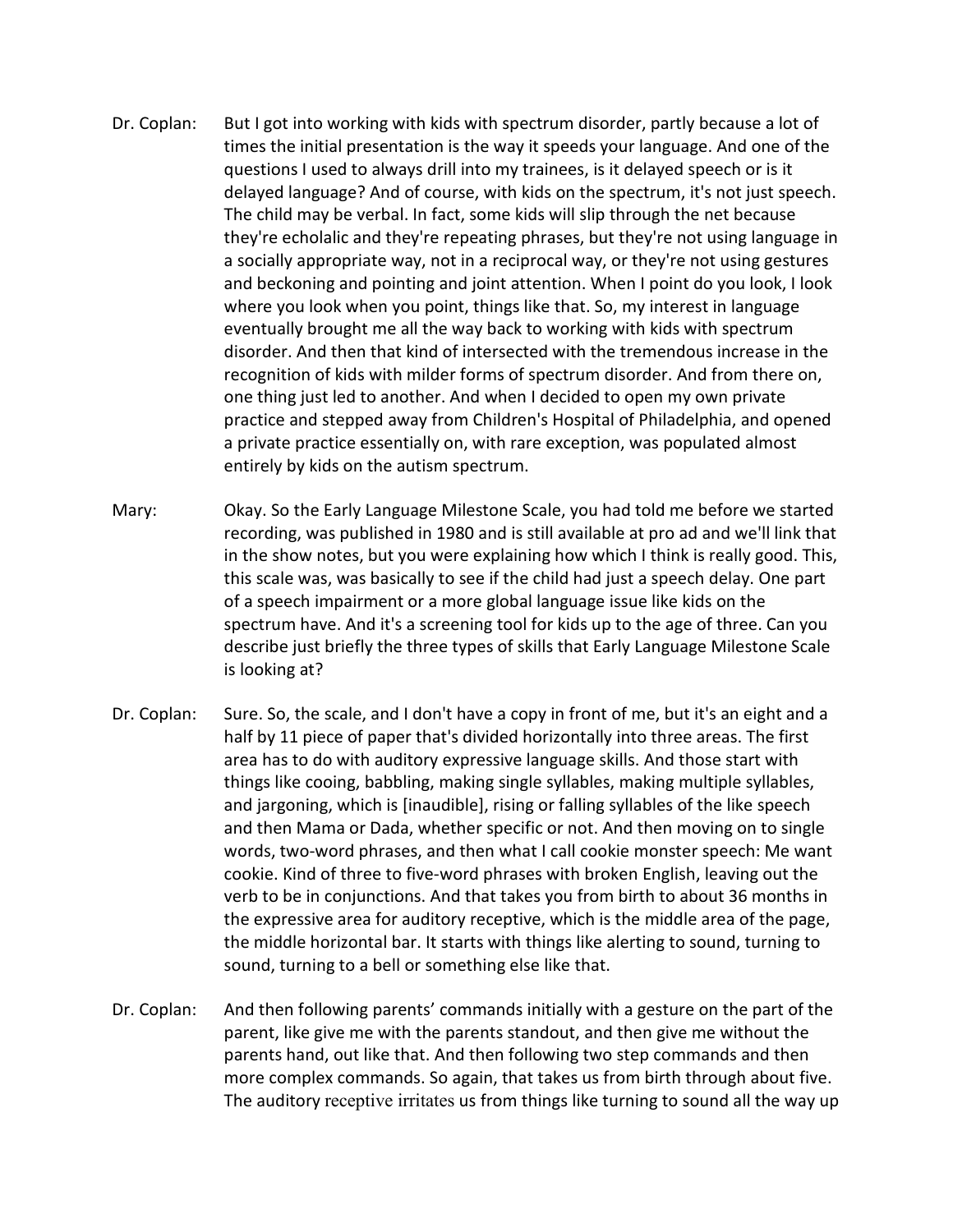- Dr. Coplan: But I got into working with kids with spectrum disorder, partly because a lot of times the initial presentation is the way it speeds your language. And one of the questions I used to always drill into my trainees, is it delayed speech or is it delayed language? And of course, with kids on the spectrum, it's not just speech. The child may be verbal. In fact, some kids will slip through the net because they're echolalic and they're repeating phrases, but they're not using language in a socially appropriate way, not in a reciprocal way, or they're not using gestures and beckoning and pointing and joint attention. When I point do you look, I look where you look when you point, things like that. So, my interest in language eventually brought me all the way back to working with kids with spectrum disorder. And then that kind of intersected with the tremendous increase in the recognition of kids with milder forms of spectrum disorder. And from there on, one thing just led to another. And when I decided to open my own private practice and stepped away from Children's Hospital of Philadelphia, and opened a private practice essentially on, with rare exception, was populated almost entirely by kids on the autism spectrum.
- Mary: Okay. So the Early Language Milestone Scale, you had told me before we started recording, was published in 1980 and is still available at pro ad and we'll link that in the show notes, but you were explaining how which I think is really good. This, this scale was, was basically to see if the child had just a speech delay. One part of a speech impairment or a more global language issue like kids on the spectrum have. And it's a screening tool for kids up to the age of three. Can you describe just briefly the three types of skills that Early Language Milestone Scale is looking at?
- Dr. Coplan: Sure. So, the scale, and I don't have a copy in front of me, but it's an eight and a half by 11 piece of paper that's divided horizontally into three areas. The first area has to do with auditory expressive language skills. And those start with things like cooing, babbling, making single syllables, making multiple syllables, and jargoning, which is [inaudible], rising or falling syllables of the like speech and then Mama or Dada, whether specific or not. And then moving on to single words, two-word phrases, and then what I call cookie monster speech: Me want cookie. Kind of three to five-word phrases with broken English, leaving out the verb to be in conjunctions. And that takes you from birth to about 36 months in the expressive area for auditory receptive, which is the middle area of the page, the middle horizontal bar. It starts with things like alerting to sound, turning to sound, turning to a bell or something else like that.
- Dr. Coplan: And then following parents' commands initially with a gesture on the part of the parent, like give me with the parents standout, and then give me without the parents hand, out like that. And then following two step commands and then more complex commands. So again, that takes us from birth through about five. The auditory receptive irritates us from things like turning to sound all the way up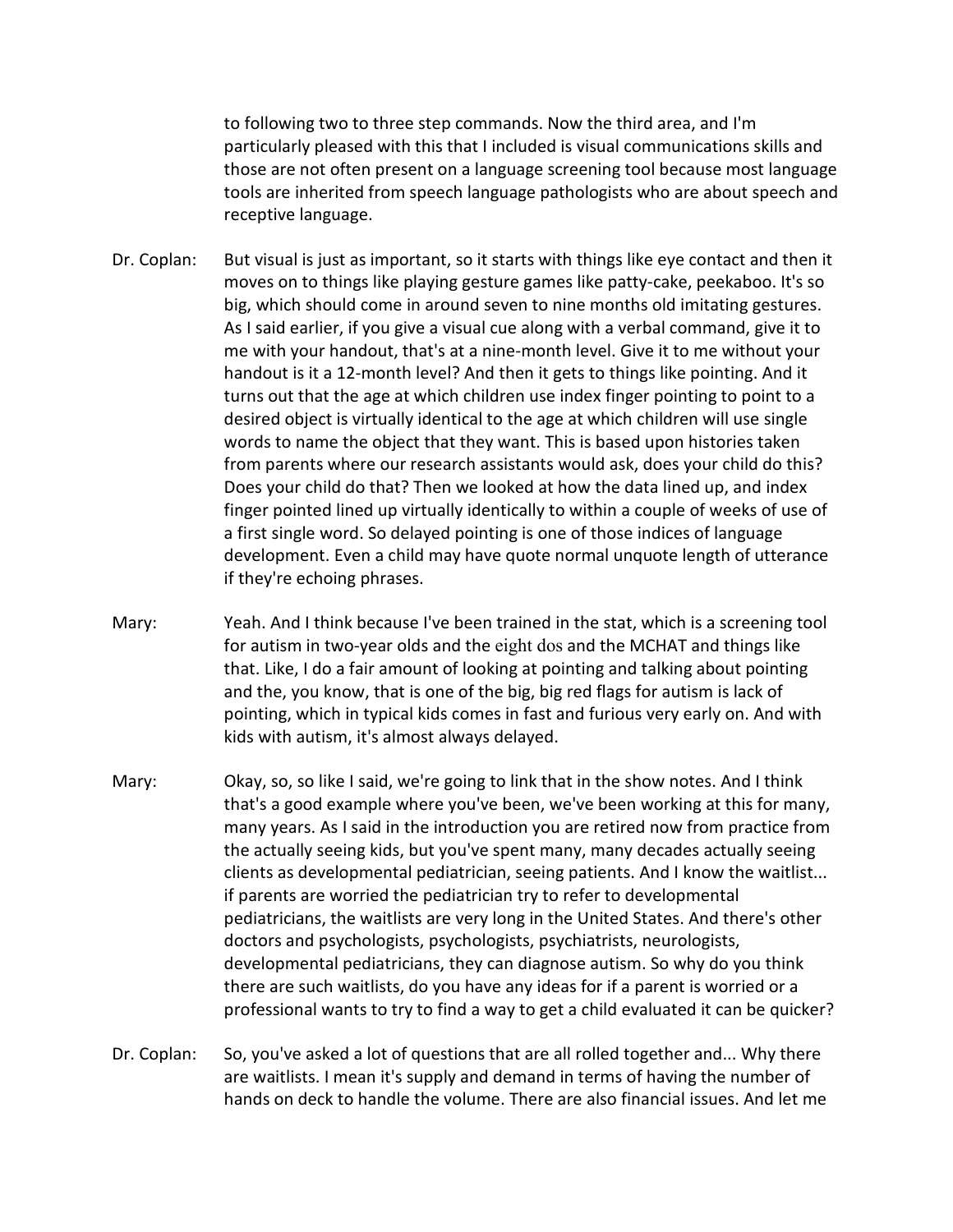to following two to three step commands. Now the third area, and I'm particularly pleased with this that I included is visual communications skills and those are not often present on a language screening tool because most language tools are inherited from speech language pathologists who are about speech and receptive language.

- Dr. Coplan: But visual is just as important, so it starts with things like eye contact and then it moves on to things like playing gesture games like patty-cake, peekaboo. It's so big, which should come in around seven to nine months old imitating gestures. As I said earlier, if you give a visual cue along with a verbal command, give it to me with your handout, that's at a nine-month level. Give it to me without your handout is it a 12-month level? And then it gets to things like pointing. And it turns out that the age at which children use index finger pointing to point to a desired object is virtually identical to the age at which children will use single words to name the object that they want. This is based upon histories taken from parents where our research assistants would ask, does your child do this? Does your child do that? Then we looked at how the data lined up, and index finger pointed lined up virtually identically to within a couple of weeks of use of a first single word. So delayed pointing is one of those indices of language development. Even a child may have quote normal unquote length of utterance if they're echoing phrases.
- Mary: Yeah. And I think because I've been trained in the stat, which is a screening tool for autism in two-year olds and the eight dos and the MCHAT and things like that. Like, I do a fair amount of looking at pointing and talking about pointing and the, you know, that is one of the big, big red flags for autism is lack of pointing, which in typical kids comes in fast and furious very early on. And with kids with autism, it's almost always delayed.
- Mary: Okay, so, so like I said, we're going to link that in the show notes. And I think that's a good example where you've been, we've been working at this for many, many years. As I said in the introduction you are retired now from practice from the actually seeing kids, but you've spent many, many decades actually seeing clients as developmental pediatrician, seeing patients. And I know the waitlist... if parents are worried the pediatrician try to refer to developmental pediatricians, the waitlists are very long in the United States. And there's other doctors and psychologists, psychologists, psychiatrists, neurologists, developmental pediatricians, they can diagnose autism. So why do you think there are such waitlists, do you have any ideas for if a parent is worried or a professional wants to try to find a way to get a child evaluated it can be quicker?
- Dr. Coplan: So, you've asked a lot of questions that are all rolled together and... Why there are waitlists. I mean it's supply and demand in terms of having the number of hands on deck to handle the volume. There are also financial issues. And let me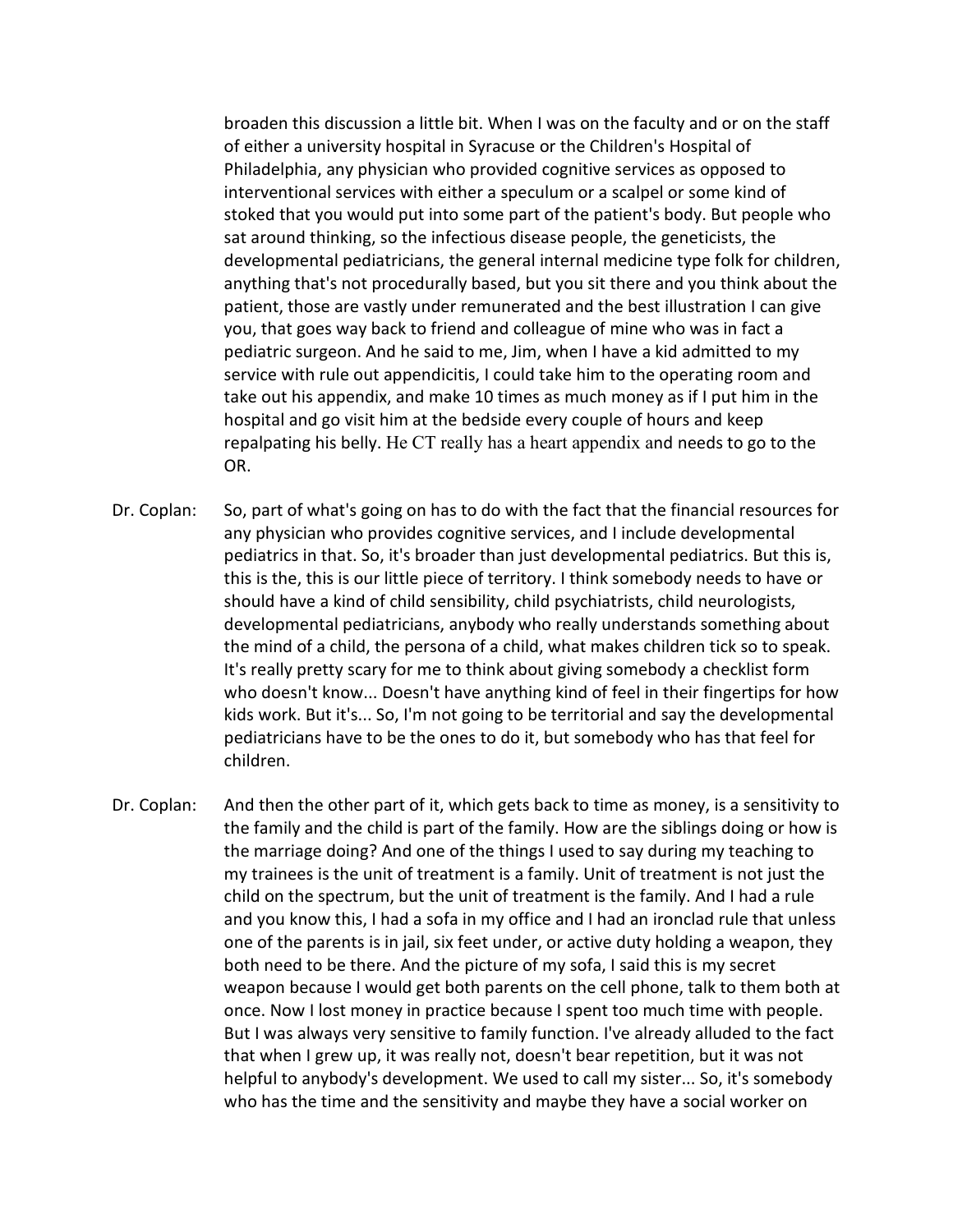broaden this discussion a little bit. When I was on the faculty and or on the staff of either a university hospital in Syracuse or the Children's Hospital of Philadelphia, any physician who provided cognitive services as opposed to interventional services with either a speculum or a scalpel or some kind of stoked that you would put into some part of the patient's body. But people who sat around thinking, so the infectious disease people, the geneticists, the developmental pediatricians, the general internal medicine type folk for children, anything that's not procedurally based, but you sit there and you think about the patient, those are vastly under remunerated and the best illustration I can give you, that goes way back to friend and colleague of mine who was in fact a pediatric surgeon. And he said to me, Jim, when I have a kid admitted to my service with rule out appendicitis, I could take him to the operating room and take out his appendix, and make 10 times as much money as if I put him in the hospital and go visit him at the bedside every couple of hours and keep repalpating his belly. He CT really has a heart appendix and needs to go to the OR.

- Dr. Coplan: So, part of what's going on has to do with the fact that the financial resources for any physician who provides cognitive services, and I include developmental pediatrics in that. So, it's broader than just developmental pediatrics. But this is, this is the, this is our little piece of territory. I think somebody needs to have or should have a kind of child sensibility, child psychiatrists, child neurologists, developmental pediatricians, anybody who really understands something about the mind of a child, the persona of a child, what makes children tick so to speak. It's really pretty scary for me to think about giving somebody a checklist form who doesn't know... Doesn't have anything kind of feel in their fingertips for how kids work. But it's... So, I'm not going to be territorial and say the developmental pediatricians have to be the ones to do it, but somebody who has that feel for children.
- Dr. Coplan: And then the other part of it, which gets back to time as money, is a sensitivity to the family and the child is part of the family. How are the siblings doing or how is the marriage doing? And one of the things I used to say during my teaching to my trainees is the unit of treatment is a family. Unit of treatment is not just the child on the spectrum, but the unit of treatment is the family. And I had a rule and you know this, I had a sofa in my office and I had an ironclad rule that unless one of the parents is in jail, six feet under, or active duty holding a weapon, they both need to be there. And the picture of my sofa, I said this is my secret weapon because I would get both parents on the cell phone, talk to them both at once. Now I lost money in practice because I spent too much time with people. But I was always very sensitive to family function. I've already alluded to the fact that when I grew up, it was really not, doesn't bear repetition, but it was not helpful to anybody's development. We used to call my sister... So, it's somebody who has the time and the sensitivity and maybe they have a social worker on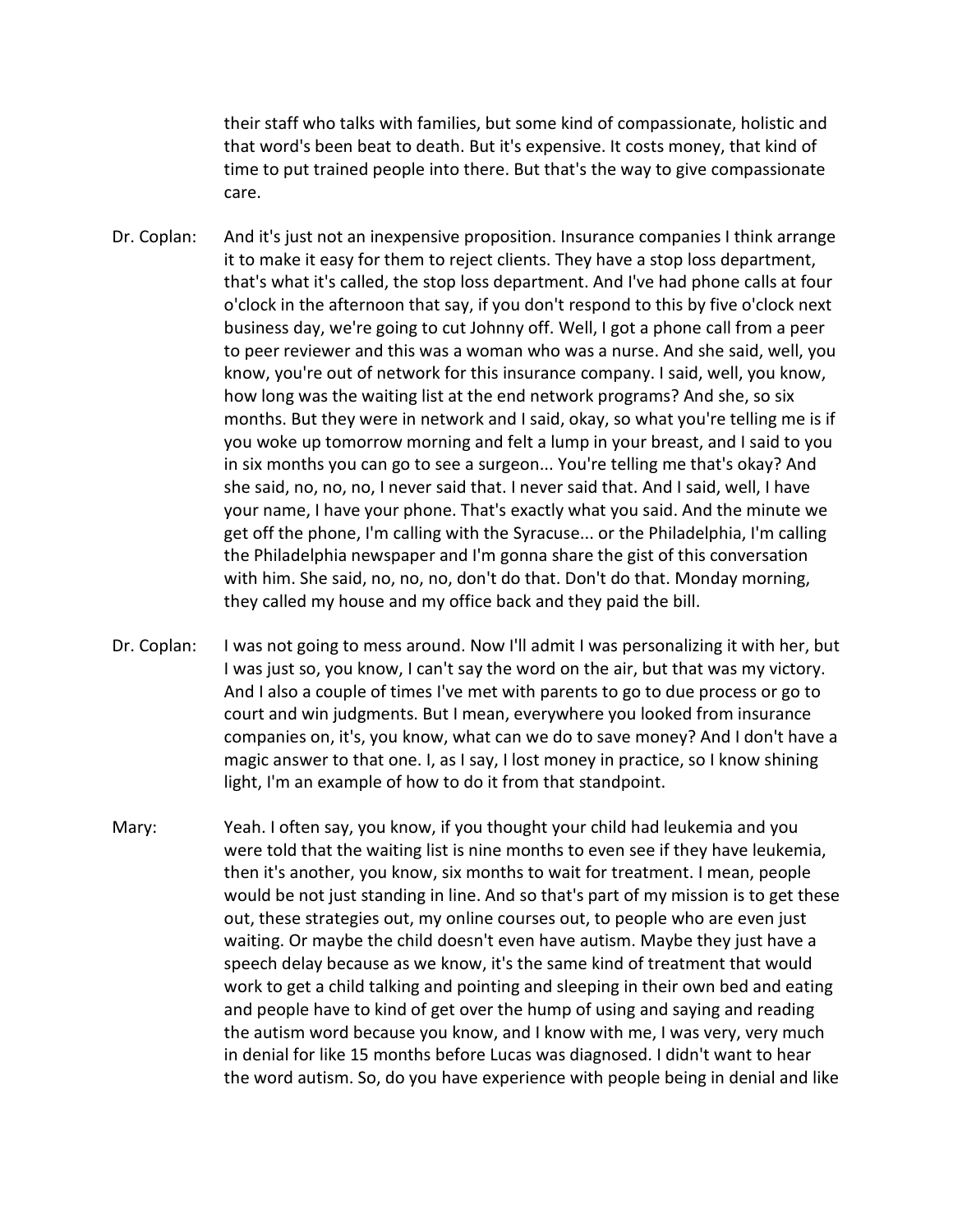their staff who talks with families, but some kind of compassionate, holistic and that word's been beat to death. But it's expensive. It costs money, that kind of time to put trained people into there. But that's the way to give compassionate care.

- Dr. Coplan: And it's just not an inexpensive proposition. Insurance companies I think arrange it to make it easy for them to reject clients. They have a stop loss department, that's what it's called, the stop loss department. And I've had phone calls at four o'clock in the afternoon that say, if you don't respond to this by five o'clock next business day, we're going to cut Johnny off. Well, I got a phone call from a peer to peer reviewer and this was a woman who was a nurse. And she said, well, you know, you're out of network for this insurance company. I said, well, you know, how long was the waiting list at the end network programs? And she, so six months. But they were in network and I said, okay, so what you're telling me is if you woke up tomorrow morning and felt a lump in your breast, and I said to you in six months you can go to see a surgeon... You're telling me that's okay? And she said, no, no, no, I never said that. I never said that. And I said, well, I have your name, I have your phone. That's exactly what you said. And the minute we get off the phone, I'm calling with the Syracuse... or the Philadelphia, I'm calling the Philadelphia newspaper and I'm gonna share the gist of this conversation with him. She said, no, no, no, don't do that. Don't do that. Monday morning, they called my house and my office back and they paid the bill.
- Dr. Coplan: I was not going to mess around. Now I'll admit I was personalizing it with her, but I was just so, you know, I can't say the word on the air, but that was my victory. And I also a couple of times I've met with parents to go to due process or go to court and win judgments. But I mean, everywhere you looked from insurance companies on, it's, you know, what can we do to save money? And I don't have a magic answer to that one. I, as I say, I lost money in practice, so I know shining light, I'm an example of how to do it from that standpoint.
- Mary: Yeah. I often say, you know, if you thought your child had leukemia and you were told that the waiting list is nine months to even see if they have leukemia, then it's another, you know, six months to wait for treatment. I mean, people would be not just standing in line. And so that's part of my mission is to get these out, these strategies out, my online courses out, to people who are even just waiting. Or maybe the child doesn't even have autism. Maybe they just have a speech delay because as we know, it's the same kind of treatment that would work to get a child talking and pointing and sleeping in their own bed and eating and people have to kind of get over the hump of using and saying and reading the autism word because you know, and I know with me, I was very, very much in denial for like 15 months before Lucas was diagnosed. I didn't want to hear the word autism. So, do you have experience with people being in denial and like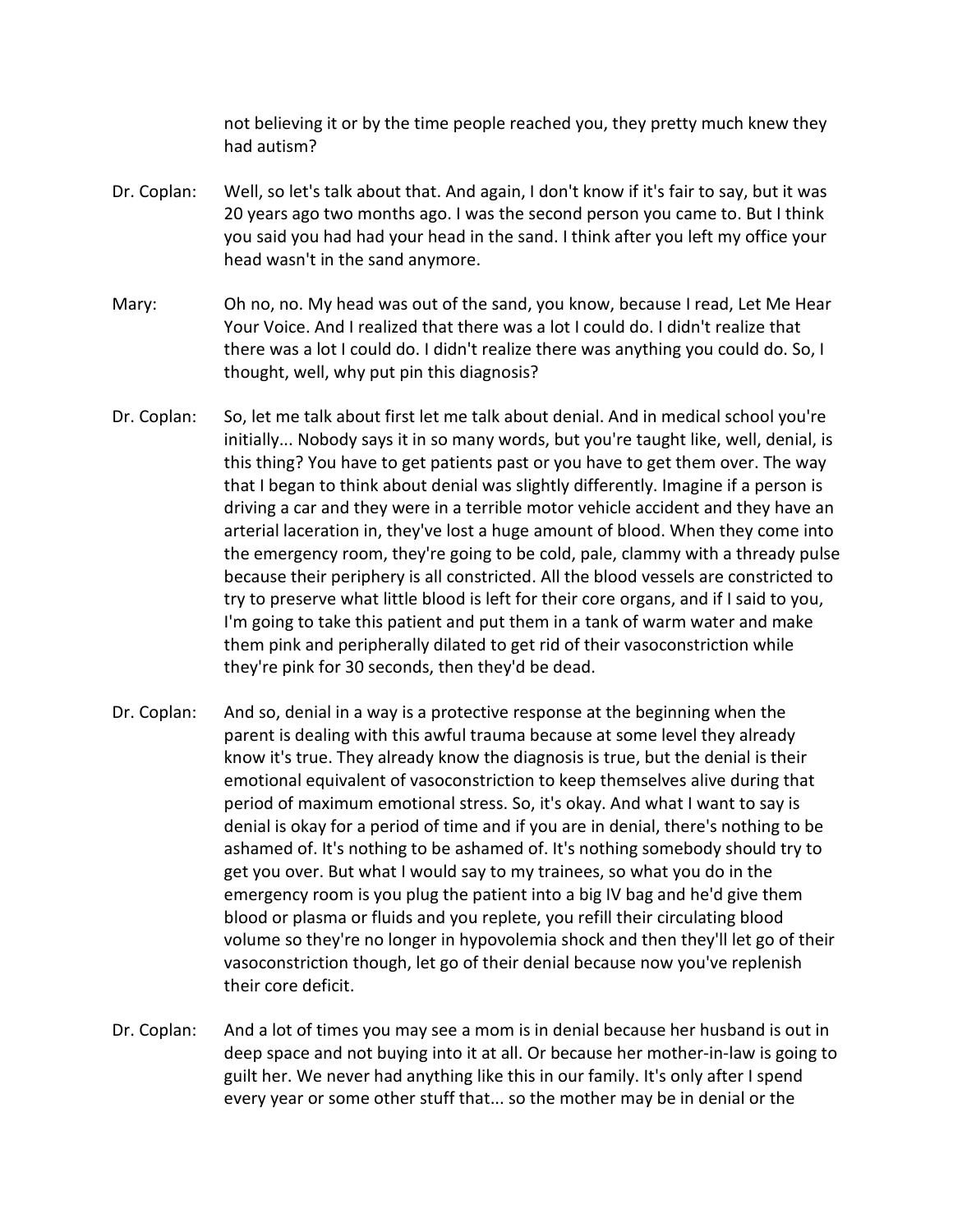not believing it or by the time people reached you, they pretty much knew they had autism?

- Dr. Coplan: Well, so let's talk about that. And again, I don't know if it's fair to say, but it was 20 years ago two months ago. I was the second person you came to. But I think you said you had had your head in the sand. I think after you left my office your head wasn't in the sand anymore.
- Mary: Oh no, no. My head was out of the sand, you know, because I read, Let Me Hear Your Voice. And I realized that there was a lot I could do. I didn't realize that there was a lot I could do. I didn't realize there was anything you could do. So, I thought, well, why put pin this diagnosis?
- Dr. Coplan: So, let me talk about first let me talk about denial. And in medical school you're initially... Nobody says it in so many words, but you're taught like, well, denial, is this thing? You have to get patients past or you have to get them over. The way that I began to think about denial was slightly differently. Imagine if a person is driving a car and they were in a terrible motor vehicle accident and they have an arterial laceration in, they've lost a huge amount of blood. When they come into the emergency room, they're going to be cold, pale, clammy with a thready pulse because their periphery is all constricted. All the blood vessels are constricted to try to preserve what little blood is left for their core organs, and if I said to you, I'm going to take this patient and put them in a tank of warm water and make them pink and peripherally dilated to get rid of their vasoconstriction while they're pink for 30 seconds, then they'd be dead.
- Dr. Coplan: And so, denial in a way is a protective response at the beginning when the parent is dealing with this awful trauma because at some level they already know it's true. They already know the diagnosis is true, but the denial is their emotional equivalent of vasoconstriction to keep themselves alive during that period of maximum emotional stress. So, it's okay. And what I want to say is denial is okay for a period of time and if you are in denial, there's nothing to be ashamed of. It's nothing to be ashamed of. It's nothing somebody should try to get you over. But what I would say to my trainees, so what you do in the emergency room is you plug the patient into a big IV bag and he'd give them blood or plasma or fluids and you replete, you refill their circulating blood volume so they're no longer in hypovolemia shock and then they'll let go of their vasoconstriction though, let go of their denial because now you've replenish their core deficit.
- Dr. Coplan: And a lot of times you may see a mom is in denial because her husband is out in deep space and not buying into it at all. Or because her mother-in-law is going to guilt her. We never had anything like this in our family. It's only after I spend every year or some other stuff that... so the mother may be in denial or the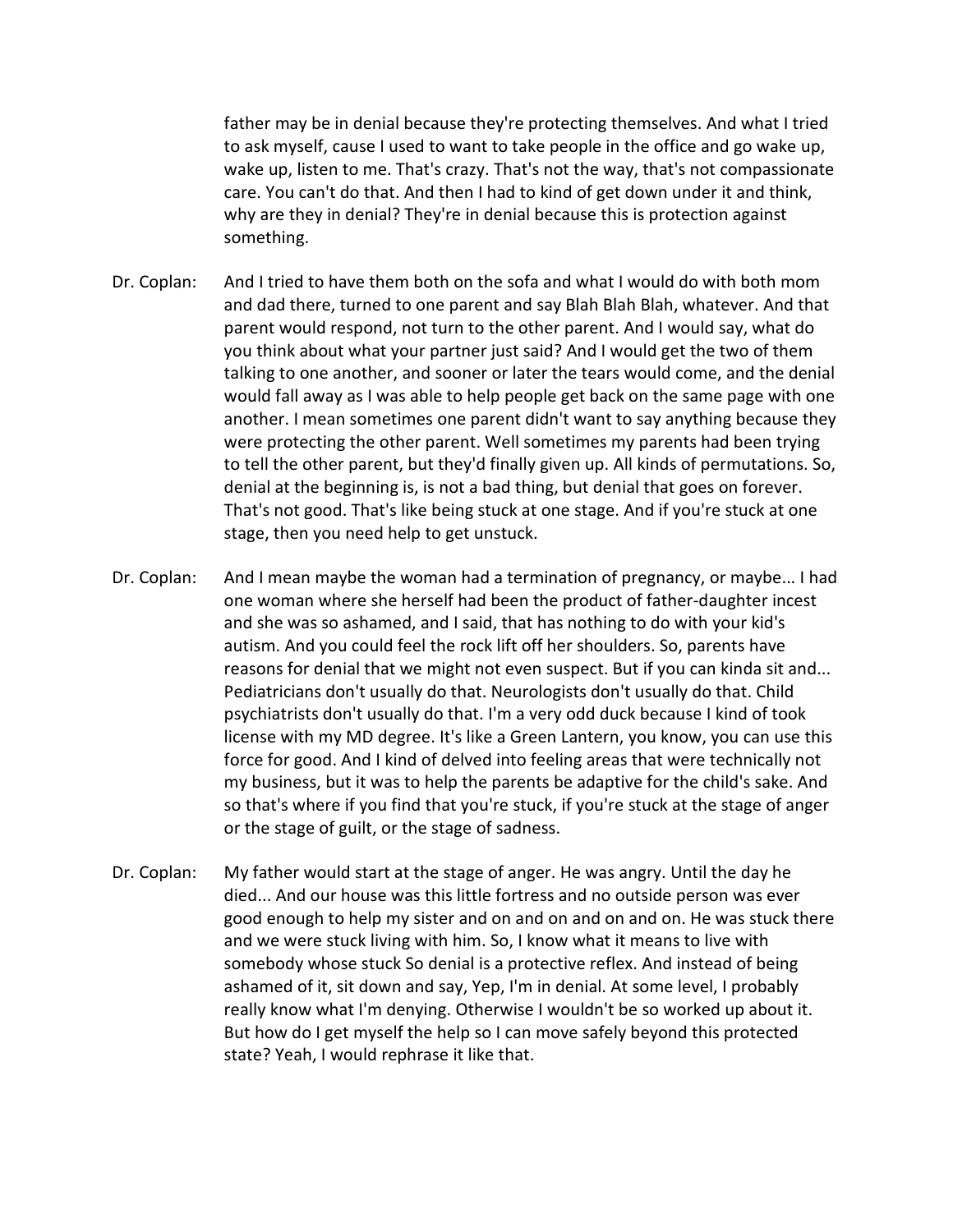father may be in denial because they're protecting themselves. And what I tried to ask myself, cause I used to want to take people in the office and go wake up, wake up, listen to me. That's crazy. That's not the way, that's not compassionate care. You can't do that. And then I had to kind of get down under it and think, why are they in denial? They're in denial because this is protection against something.

- Dr. Coplan: And I tried to have them both on the sofa and what I would do with both mom and dad there, turned to one parent and say Blah Blah Blah, whatever. And that parent would respond, not turn to the other parent. And I would say, what do you think about what your partner just said? And I would get the two of them talking to one another, and sooner or later the tears would come, and the denial would fall away as I was able to help people get back on the same page with one another. I mean sometimes one parent didn't want to say anything because they were protecting the other parent. Well sometimes my parents had been trying to tell the other parent, but they'd finally given up. All kinds of permutations. So, denial at the beginning is, is not a bad thing, but denial that goes on forever. That's not good. That's like being stuck at one stage. And if you're stuck at one stage, then you need help to get unstuck.
- Dr. Coplan: And I mean maybe the woman had a termination of pregnancy, or maybe... I had one woman where she herself had been the product of father-daughter incest and she was so ashamed, and I said, that has nothing to do with your kid's autism. And you could feel the rock lift off her shoulders. So, parents have reasons for denial that we might not even suspect. But if you can kinda sit and... Pediatricians don't usually do that. Neurologists don't usually do that. Child psychiatrists don't usually do that. I'm a very odd duck because I kind of took license with my MD degree. It's like a Green Lantern, you know, you can use this force for good. And I kind of delved into feeling areas that were technically not my business, but it was to help the parents be adaptive for the child's sake. And so that's where if you find that you're stuck, if you're stuck at the stage of anger or the stage of guilt, or the stage of sadness.
- Dr. Coplan: My father would start at the stage of anger. He was angry. Until the day he died... And our house was this little fortress and no outside person was ever good enough to help my sister and on and on and on and on. He was stuck there and we were stuck living with him. So, I know what it means to live with somebody whose stuck So denial is a protective reflex. And instead of being ashamed of it, sit down and say, Yep, I'm in denial. At some level, I probably really know what I'm denying. Otherwise I wouldn't be so worked up about it. But how do I get myself the help so I can move safely beyond this protected state? Yeah, I would rephrase it like that.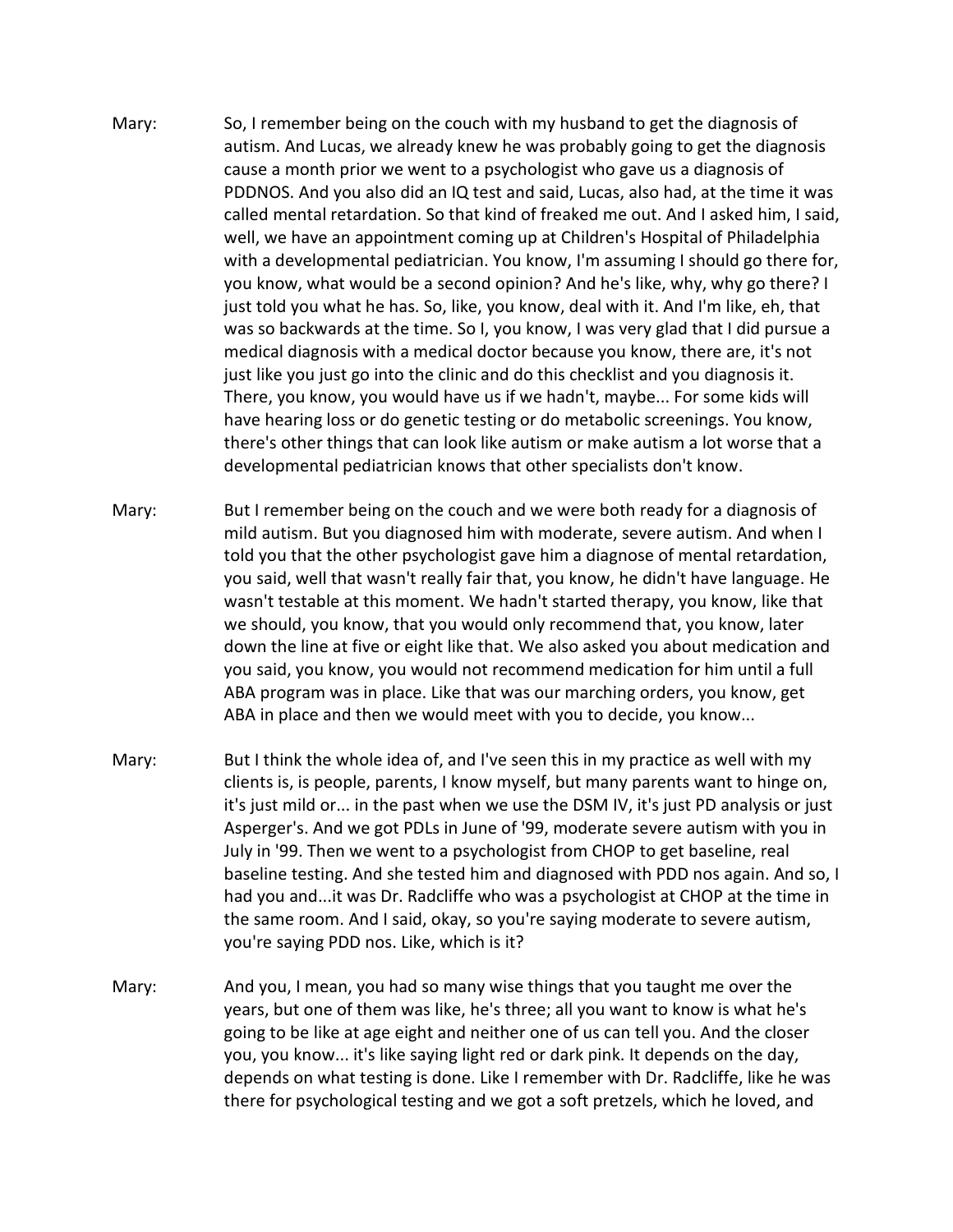- Mary: So, I remember being on the couch with my husband to get the diagnosis of autism. And Lucas, we already knew he was probably going to get the diagnosis cause a month prior we went to a psychologist who gave us a diagnosis of PDDNOS. And you also did an IQ test and said, Lucas, also had, at the time it was called mental retardation. So that kind of freaked me out. And I asked him, I said, well, we have an appointment coming up at Children's Hospital of Philadelphia with a developmental pediatrician. You know, I'm assuming I should go there for, you know, what would be a second opinion? And he's like, why, why go there? I just told you what he has. So, like, you know, deal with it. And I'm like, eh, that was so backwards at the time. So I, you know, I was very glad that I did pursue a medical diagnosis with a medical doctor because you know, there are, it's not just like you just go into the clinic and do this checklist and you diagnosis it. There, you know, you would have us if we hadn't, maybe... For some kids will have hearing loss or do genetic testing or do metabolic screenings. You know, there's other things that can look like autism or make autism a lot worse that a developmental pediatrician knows that other specialists don't know.
- Mary: But I remember being on the couch and we were both ready for a diagnosis of mild autism. But you diagnosed him with moderate, severe autism. And when I told you that the other psychologist gave him a diagnose of mental retardation, you said, well that wasn't really fair that, you know, he didn't have language. He wasn't testable at this moment. We hadn't started therapy, you know, like that we should, you know, that you would only recommend that, you know, later down the line at five or eight like that. We also asked you about medication and you said, you know, you would not recommend medication for him until a full ABA program was in place. Like that was our marching orders, you know, get ABA in place and then we would meet with you to decide, you know...
- Mary: But I think the whole idea of, and I've seen this in my practice as well with my clients is, is people, parents, I know myself, but many parents want to hinge on, it's just mild or... in the past when we use the DSM IV, it's just PD analysis or just Asperger's. And we got PDLs in June of '99, moderate severe autism with you in July in '99. Then we went to a psychologist from CHOP to get baseline, real baseline testing. And she tested him and diagnosed with PDD nos again. And so, I had you and...it was Dr. Radcliffe who was a psychologist at CHOP at the time in the same room. And I said, okay, so you're saying moderate to severe autism, you're saying PDD nos. Like, which is it?
- Mary: And you, I mean, you had so many wise things that you taught me over the years, but one of them was like, he's three; all you want to know is what he's going to be like at age eight and neither one of us can tell you. And the closer you, you know... it's like saying light red or dark pink. It depends on the day, depends on what testing is done. Like I remember with Dr. Radcliffe, like he was there for psychological testing and we got a soft pretzels, which he loved, and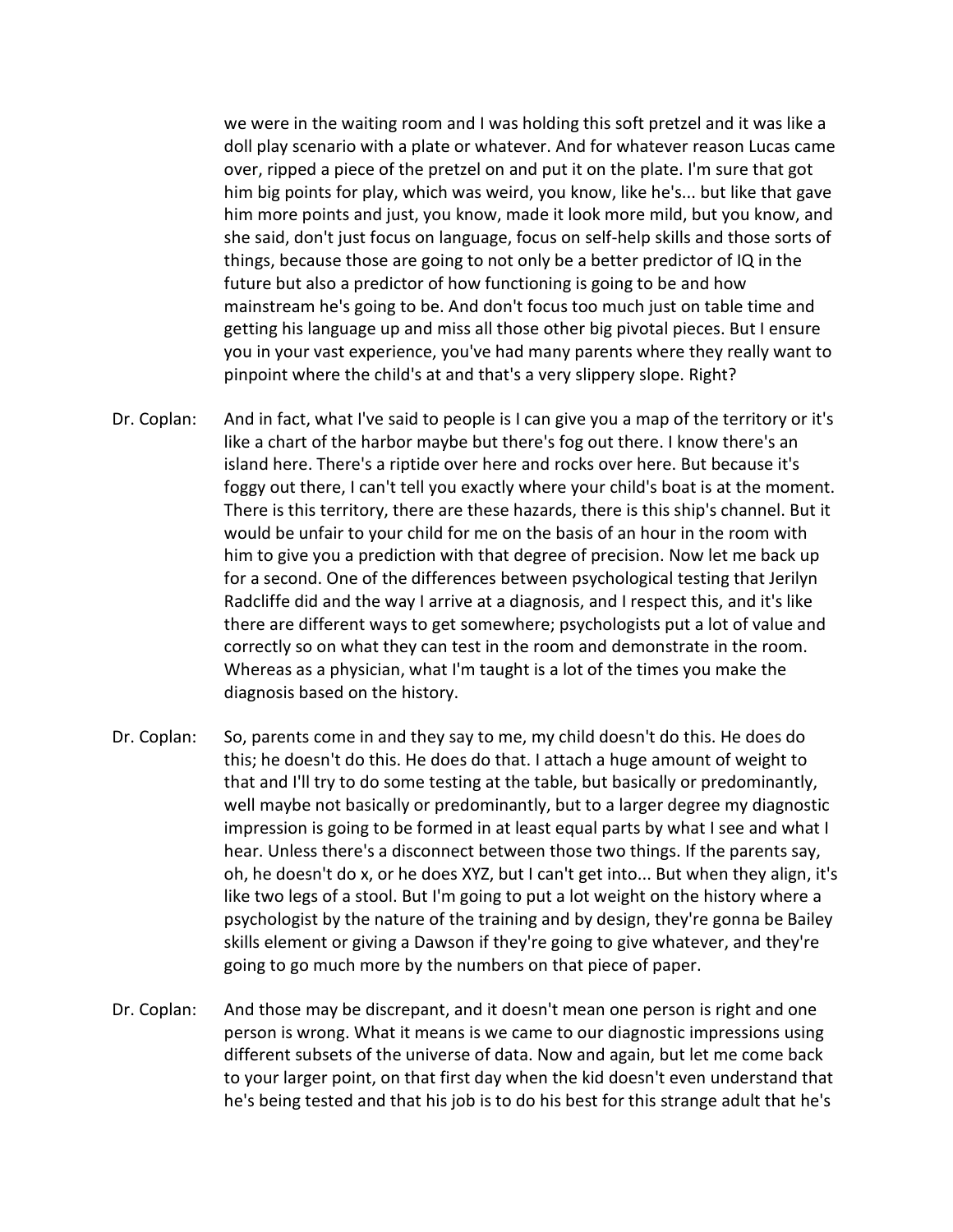we were in the waiting room and I was holding this soft pretzel and it was like a doll play scenario with a plate or whatever. And for whatever reason Lucas came over, ripped a piece of the pretzel on and put it on the plate. I'm sure that got him big points for play, which was weird, you know, like he's... but like that gave him more points and just, you know, made it look more mild, but you know, and she said, don't just focus on language, focus on self-help skills and those sorts of things, because those are going to not only be a better predictor of IQ in the future but also a predictor of how functioning is going to be and how mainstream he's going to be. And don't focus too much just on table time and getting his language up and miss all those other big pivotal pieces. But I ensure you in your vast experience, you've had many parents where they really want to pinpoint where the child's at and that's a very slippery slope. Right?

- Dr. Coplan: And in fact, what I've said to people is I can give you a map of the territory or it's like a chart of the harbor maybe but there's fog out there. I know there's an island here. There's a riptide over here and rocks over here. But because it's foggy out there, I can't tell you exactly where your child's boat is at the moment. There is this territory, there are these hazards, there is this ship's channel. But it would be unfair to your child for me on the basis of an hour in the room with him to give you a prediction with that degree of precision. Now let me back up for a second. One of the differences between psychological testing that Jerilyn Radcliffe did and the way I arrive at a diagnosis, and I respect this, and it's like there are different ways to get somewhere; psychologists put a lot of value and correctly so on what they can test in the room and demonstrate in the room. Whereas as a physician, what I'm taught is a lot of the times you make the diagnosis based on the history.
- Dr. Coplan: So, parents come in and they say to me, my child doesn't do this. He does do this; he doesn't do this. He does do that. I attach a huge amount of weight to that and I'll try to do some testing at the table, but basically or predominantly, well maybe not basically or predominantly, but to a larger degree my diagnostic impression is going to be formed in at least equal parts by what I see and what I hear. Unless there's a disconnect between those two things. If the parents say, oh, he doesn't do x, or he does XYZ, but I can't get into... But when they align, it's like two legs of a stool. But I'm going to put a lot weight on the history where a psychologist by the nature of the training and by design, they're gonna be Bailey skills element or giving a Dawson if they're going to give whatever, and they're going to go much more by the numbers on that piece of paper.
- Dr. Coplan: And those may be discrepant, and it doesn't mean one person is right and one person is wrong. What it means is we came to our diagnostic impressions using different subsets of the universe of data. Now and again, but let me come back to your larger point, on that first day when the kid doesn't even understand that he's being tested and that his job is to do his best for this strange adult that he's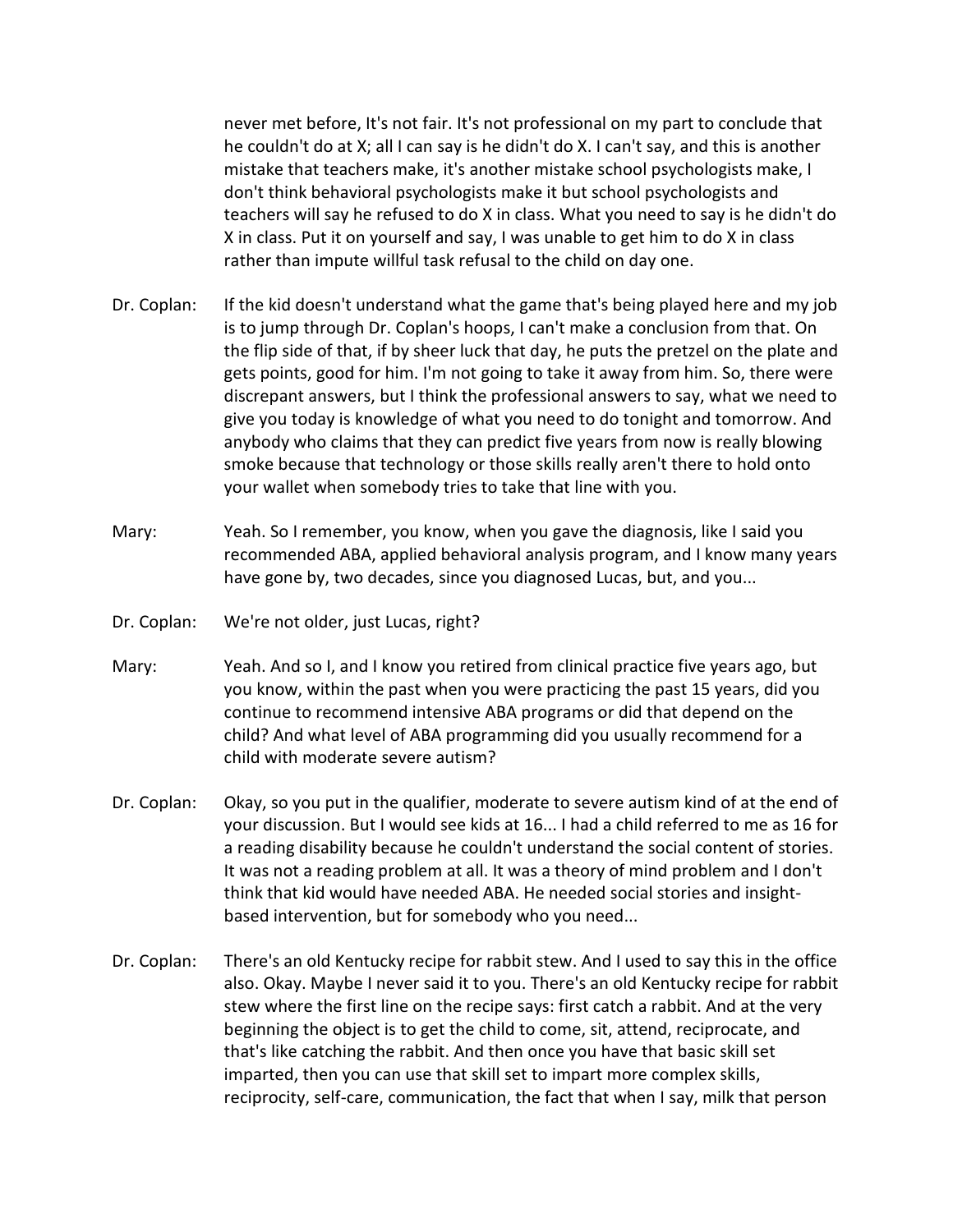never met before, It's not fair. It's not professional on my part to conclude that he couldn't do at X; all I can say is he didn't do X. I can't say, and this is another mistake that teachers make, it's another mistake school psychologists make, I don't think behavioral psychologists make it but school psychologists and teachers will say he refused to do X in class. What you need to say is he didn't do X in class. Put it on yourself and say, I was unable to get him to do X in class rather than impute willful task refusal to the child on day one.

- Dr. Coplan: If the kid doesn't understand what the game that's being played here and my job is to jump through Dr. Coplan's hoops, I can't make a conclusion from that. On the flip side of that, if by sheer luck that day, he puts the pretzel on the plate and gets points, good for him. I'm not going to take it away from him. So, there were discrepant answers, but I think the professional answers to say, what we need to give you today is knowledge of what you need to do tonight and tomorrow. And anybody who claims that they can predict five years from now is really blowing smoke because that technology or those skills really aren't there to hold onto your wallet when somebody tries to take that line with you.
- Mary: Yeah. So I remember, you know, when you gave the diagnosis, like I said you recommended ABA, applied behavioral analysis program, and I know many years have gone by, two decades, since you diagnosed Lucas, but, and you...
- Dr. Coplan: We're not older, just Lucas, right?
- Mary: Yeah. And so I, and I know you retired from clinical practice five years ago, but you know, within the past when you were practicing the past 15 years, did you continue to recommend intensive ABA programs or did that depend on the child? And what level of ABA programming did you usually recommend for a child with moderate severe autism?
- Dr. Coplan: Okay, so you put in the qualifier, moderate to severe autism kind of at the end of your discussion. But I would see kids at 16... I had a child referred to me as 16 for a reading disability because he couldn't understand the social content of stories. It was not a reading problem at all. It was a theory of mind problem and I don't think that kid would have needed ABA. He needed social stories and insightbased intervention, but for somebody who you need...
- Dr. Coplan: There's an old Kentucky recipe for rabbit stew. And I used to say this in the office also. Okay. Maybe I never said it to you. There's an old Kentucky recipe for rabbit stew where the first line on the recipe says: first catch a rabbit. And at the very beginning the object is to get the child to come, sit, attend, reciprocate, and that's like catching the rabbit. And then once you have that basic skill set imparted, then you can use that skill set to impart more complex skills, reciprocity, self-care, communication, the fact that when I say, milk that person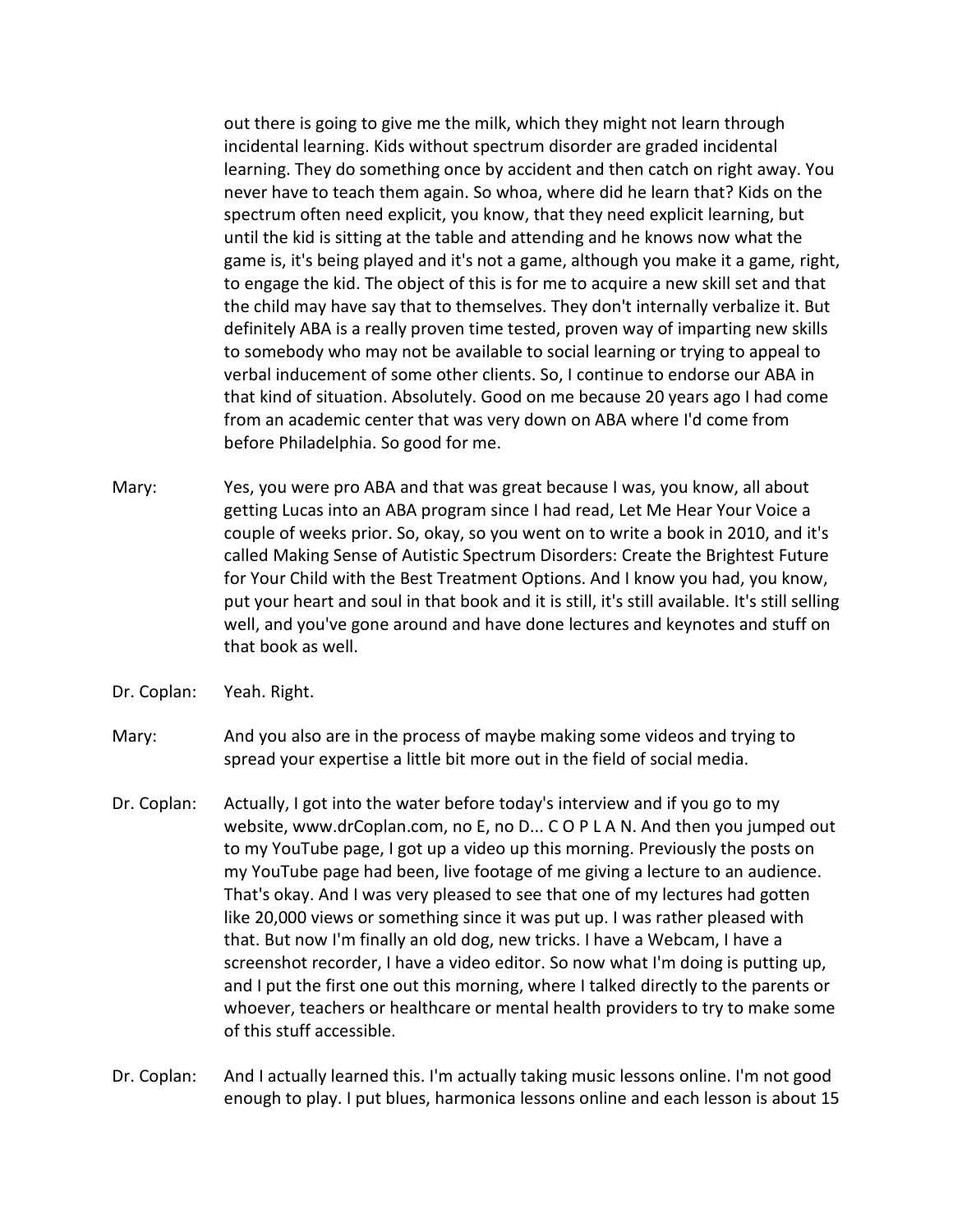out there is going to give me the milk, which they might not learn through incidental learning. Kids without spectrum disorder are graded incidental learning. They do something once by accident and then catch on right away. You never have to teach them again. So whoa, where did he learn that? Kids on the spectrum often need explicit, you know, that they need explicit learning, but until the kid is sitting at the table and attending and he knows now what the game is, it's being played and it's not a game, although you make it a game, right, to engage the kid. The object of this is for me to acquire a new skill set and that the child may have say that to themselves. They don't internally verbalize it. But definitely ABA is a really proven time tested, proven way of imparting new skills to somebody who may not be available to social learning or trying to appeal to verbal inducement of some other clients. So, I continue to endorse our ABA in that kind of situation. Absolutely. Good on me because 20 years ago I had come from an academic center that was very down on ABA where I'd come from before Philadelphia. So good for me.

- Mary: Yes, you were pro ABA and that was great because I was, you know, all about getting Lucas into an ABA program since I had read, Let Me Hear Your Voice a couple of weeks prior. So, okay, so you went on to write a book in 2010, and it's called Making Sense of Autistic Spectrum Disorders: Create the Brightest Future for Your Child with the Best Treatment Options. And I know you had, you know, put your heart and soul in that book and it is still, it's still available. It's still selling well, and you've gone around and have done lectures and keynotes and stuff on that book as well.
- Dr. Coplan: Yeah. Right.

Mary: And you also are in the process of maybe making some videos and trying to spread your expertise a little bit more out in the field of social media.

Dr. Coplan: Actually, I got into the water before today's interview and if you go to my website, www.drCoplan.com, no E, no D... C O P L A N. And then you jumped out to my YouTube page, I got up a video up this morning. Previously the posts on my YouTube page had been, live footage of me giving a lecture to an audience. That's okay. And I was very pleased to see that one of my lectures had gotten like 20,000 views or something since it was put up. I was rather pleased with that. But now I'm finally an old dog, new tricks. I have a Webcam, I have a screenshot recorder, I have a video editor. So now what I'm doing is putting up, and I put the first one out this morning, where I talked directly to the parents or whoever, teachers or healthcare or mental health providers to try to make some of this stuff accessible.

Dr. Coplan: And I actually learned this. I'm actually taking music lessons online. I'm not good enough to play. I put blues, harmonica lessons online and each lesson is about 15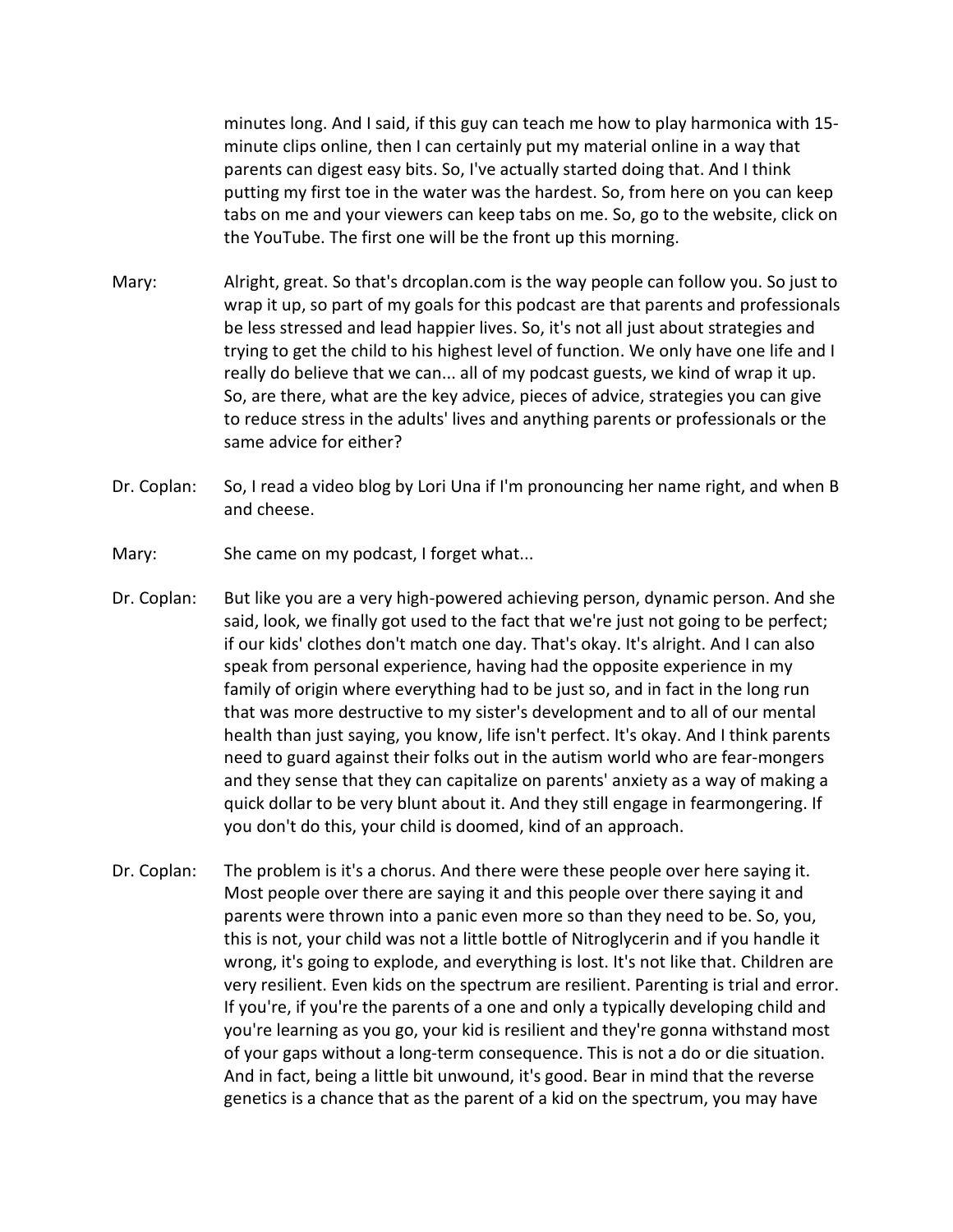minutes long. And I said, if this guy can teach me how to play harmonica with 15 minute clips online, then I can certainly put my material online in a way that parents can digest easy bits. So, I've actually started doing that. And I think putting my first toe in the water was the hardest. So, from here on you can keep tabs on me and your viewers can keep tabs on me. So, go to the website, click on the YouTube. The first one will be the front up this morning.

- Mary: Alright, great. So that's drcoplan.com is the way people can follow you. So just to wrap it up, so part of my goals for this podcast are that parents and professionals be less stressed and lead happier lives. So, it's not all just about strategies and trying to get the child to his highest level of function. We only have one life and I really do believe that we can... all of my podcast guests, we kind of wrap it up. So, are there, what are the key advice, pieces of advice, strategies you can give to reduce stress in the adults' lives and anything parents or professionals or the same advice for either?
- Dr. Coplan: So, I read a video blog by Lori Una if I'm pronouncing her name right, and when B and cheese.
- Mary: She came on my podcast, I forget what...
- Dr. Coplan: But like you are a very high-powered achieving person, dynamic person. And she said, look, we finally got used to the fact that we're just not going to be perfect; if our kids' clothes don't match one day. That's okay. It's alright. And I can also speak from personal experience, having had the opposite experience in my family of origin where everything had to be just so, and in fact in the long run that was more destructive to my sister's development and to all of our mental health than just saying, you know, life isn't perfect. It's okay. And I think parents need to guard against their folks out in the autism world who are fear-mongers and they sense that they can capitalize on parents' anxiety as a way of making a quick dollar to be very blunt about it. And they still engage in fearmongering. If you don't do this, your child is doomed, kind of an approach.
- Dr. Coplan: The problem is it's a chorus. And there were these people over here saying it. Most people over there are saying it and this people over there saying it and parents were thrown into a panic even more so than they need to be. So, you, this is not, your child was not a little bottle of Nitroglycerin and if you handle it wrong, it's going to explode, and everything is lost. It's not like that. Children are very resilient. Even kids on the spectrum are resilient. Parenting is trial and error. If you're, if you're the parents of a one and only a typically developing child and you're learning as you go, your kid is resilient and they're gonna withstand most of your gaps without a long-term consequence. This is not a do or die situation. And in fact, being a little bit unwound, it's good. Bear in mind that the reverse genetics is a chance that as the parent of a kid on the spectrum, you may have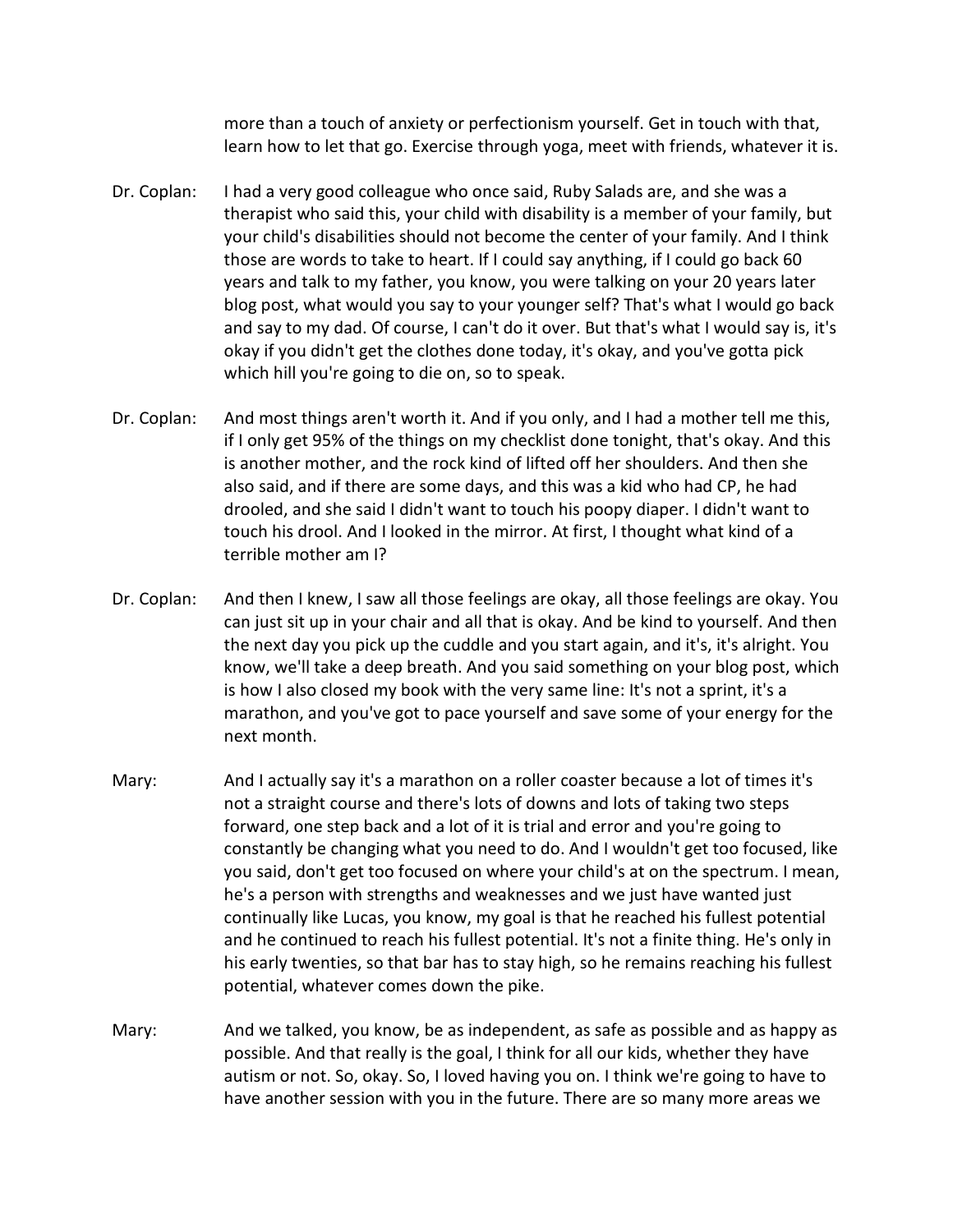more than a touch of anxiety or perfectionism yourself. Get in touch with that, learn how to let that go. Exercise through yoga, meet with friends, whatever it is.

- Dr. Coplan: I had a very good colleague who once said, Ruby Salads are, and she was a therapist who said this, your child with disability is a member of your family, but your child's disabilities should not become the center of your family. And I think those are words to take to heart. If I could say anything, if I could go back 60 years and talk to my father, you know, you were talking on your 20 years later blog post, what would you say to your younger self? That's what I would go back and say to my dad. Of course, I can't do it over. But that's what I would say is, it's okay if you didn't get the clothes done today, it's okay, and you've gotta pick which hill you're going to die on, so to speak.
- Dr. Coplan: And most things aren't worth it. And if you only, and I had a mother tell me this, if I only get 95% of the things on my checklist done tonight, that's okay. And this is another mother, and the rock kind of lifted off her shoulders. And then she also said, and if there are some days, and this was a kid who had CP, he had drooled, and she said I didn't want to touch his poopy diaper. I didn't want to touch his drool. And I looked in the mirror. At first, I thought what kind of a terrible mother am I?
- Dr. Coplan: And then I knew, I saw all those feelings are okay, all those feelings are okay. You can just sit up in your chair and all that is okay. And be kind to yourself. And then the next day you pick up the cuddle and you start again, and it's, it's alright. You know, we'll take a deep breath. And you said something on your blog post, which is how I also closed my book with the very same line: It's not a sprint, it's a marathon, and you've got to pace yourself and save some of your energy for the next month.
- Mary: And I actually say it's a marathon on a roller coaster because a lot of times it's not a straight course and there's lots of downs and lots of taking two steps forward, one step back and a lot of it is trial and error and you're going to constantly be changing what you need to do. And I wouldn't get too focused, like you said, don't get too focused on where your child's at on the spectrum. I mean, he's a person with strengths and weaknesses and we just have wanted just continually like Lucas, you know, my goal is that he reached his fullest potential and he continued to reach his fullest potential. It's not a finite thing. He's only in his early twenties, so that bar has to stay high, so he remains reaching his fullest potential, whatever comes down the pike.
- Mary: And we talked, you know, be as independent, as safe as possible and as happy as possible. And that really is the goal, I think for all our kids, whether they have autism or not. So, okay. So, I loved having you on. I think we're going to have to have another session with you in the future. There are so many more areas we